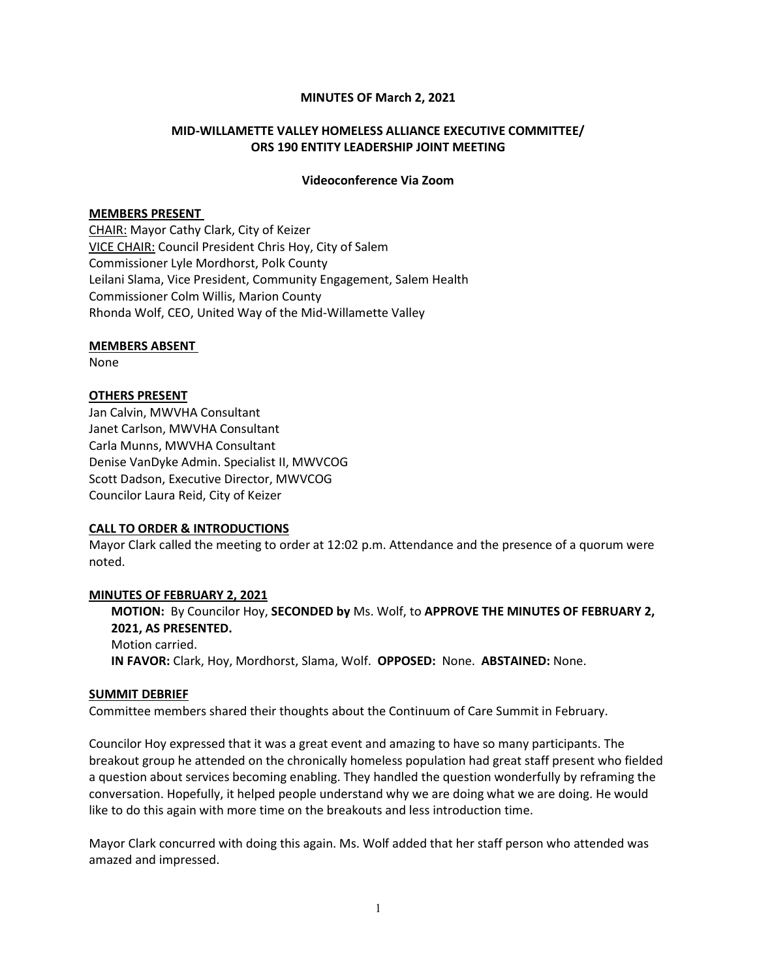### MINUTES OF March 2, 2021

# MID-WILLAMETTE VALLEY HOMELESS ALLIANCE EXECUTIVE COMMITTEE/ ORS 190 ENTITY LEADERSHIP JOINT MEETING

#### Videoconference Via Zoom

### MEMBERS PRESENT

CHAIR: Mayor Cathy Clark, City of Keizer VICE CHAIR: Council President Chris Hoy, City of Salem Commissioner Lyle Mordhorst, Polk County Leilani Slama, Vice President, Community Engagement, Salem Health Commissioner Colm Willis, Marion County Rhonda Wolf, CEO, United Way of the Mid-Willamette Valley

### MEMBERS ABSENT

None

# OTHERS PRESENT

Jan Calvin, MWVHA Consultant Janet Carlson, MWVHA Consultant Carla Munns, MWVHA Consultant Denise VanDyke Admin. Specialist II, MWVCOG Scott Dadson, Executive Director, MWVCOG Councilor Laura Reid, City of Keizer

# CALL TO ORDER & INTRODUCTIONS

Mayor Clark called the meeting to order at 12:02 p.m. Attendance and the presence of a quorum were noted.

#### MINUTES OF FEBRUARY 2, 2021

MOTION: By Councilor Hoy, SECONDED by Ms. Wolf, to APPROVE THE MINUTES OF FEBRUARY 2, 2021, AS PRESENTED. Motion carried. IN FAVOR: Clark, Hoy, Mordhorst, Slama, Wolf. OPPOSED: None. ABSTAINED: None.

#### SUMMIT DEBRIEF

Committee members shared their thoughts about the Continuum of Care Summit in February.

Councilor Hoy expressed that it was a great event and amazing to have so many participants. The breakout group he attended on the chronically homeless population had great staff present who fielded a question about services becoming enabling. They handled the question wonderfully by reframing the conversation. Hopefully, it helped people understand why we are doing what we are doing. He would like to do this again with more time on the breakouts and less introduction time.

Mayor Clark concurred with doing this again. Ms. Wolf added that her staff person who attended was amazed and impressed.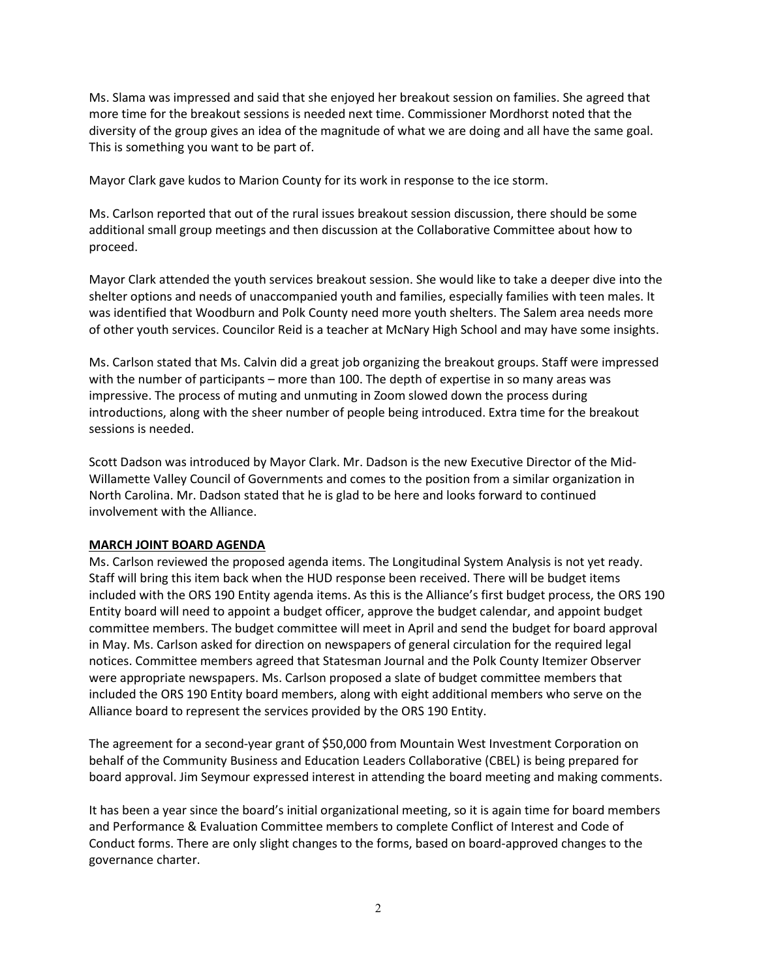Ms. Slama was impressed and said that she enjoyed her breakout session on families. She agreed that more time for the breakout sessions is needed next time. Commissioner Mordhorst noted that the diversity of the group gives an idea of the magnitude of what we are doing and all have the same goal. This is something you want to be part of.

Mayor Clark gave kudos to Marion County for its work in response to the ice storm.

Ms. Carlson reported that out of the rural issues breakout session discussion, there should be some additional small group meetings and then discussion at the Collaborative Committee about how to proceed.

Mayor Clark attended the youth services breakout session. She would like to take a deeper dive into the shelter options and needs of unaccompanied youth and families, especially families with teen males. It was identified that Woodburn and Polk County need more youth shelters. The Salem area needs more of other youth services. Councilor Reid is a teacher at McNary High School and may have some insights.

Ms. Carlson stated that Ms. Calvin did a great job organizing the breakout groups. Staff were impressed with the number of participants – more than 100. The depth of expertise in so many areas was impressive. The process of muting and unmuting in Zoom slowed down the process during introductions, along with the sheer number of people being introduced. Extra time for the breakout sessions is needed.

Scott Dadson was introduced by Mayor Clark. Mr. Dadson is the new Executive Director of the Mid-Willamette Valley Council of Governments and comes to the position from a similar organization in North Carolina. Mr. Dadson stated that he is glad to be here and looks forward to continued involvement with the Alliance.

#### MARCH JOINT BOARD AGENDA

Ms. Carlson reviewed the proposed agenda items. The Longitudinal System Analysis is not yet ready. Staff will bring this item back when the HUD response been received. There will be budget items included with the ORS 190 Entity agenda items. As this is the Alliance's first budget process, the ORS 190 Entity board will need to appoint a budget officer, approve the budget calendar, and appoint budget committee members. The budget committee will meet in April and send the budget for board approval in May. Ms. Carlson asked for direction on newspapers of general circulation for the required legal notices. Committee members agreed that Statesman Journal and the Polk County Itemizer Observer were appropriate newspapers. Ms. Carlson proposed a slate of budget committee members that included the ORS 190 Entity board members, along with eight additional members who serve on the Alliance board to represent the services provided by the ORS 190 Entity.

The agreement for a second-year grant of \$50,000 from Mountain West Investment Corporation on behalf of the Community Business and Education Leaders Collaborative (CBEL) is being prepared for board approval. Jim Seymour expressed interest in attending the board meeting and making comments.

It has been a year since the board's initial organizational meeting, so it is again time for board members and Performance & Evaluation Committee members to complete Conflict of Interest and Code of Conduct forms. There are only slight changes to the forms, based on board-approved changes to the governance charter.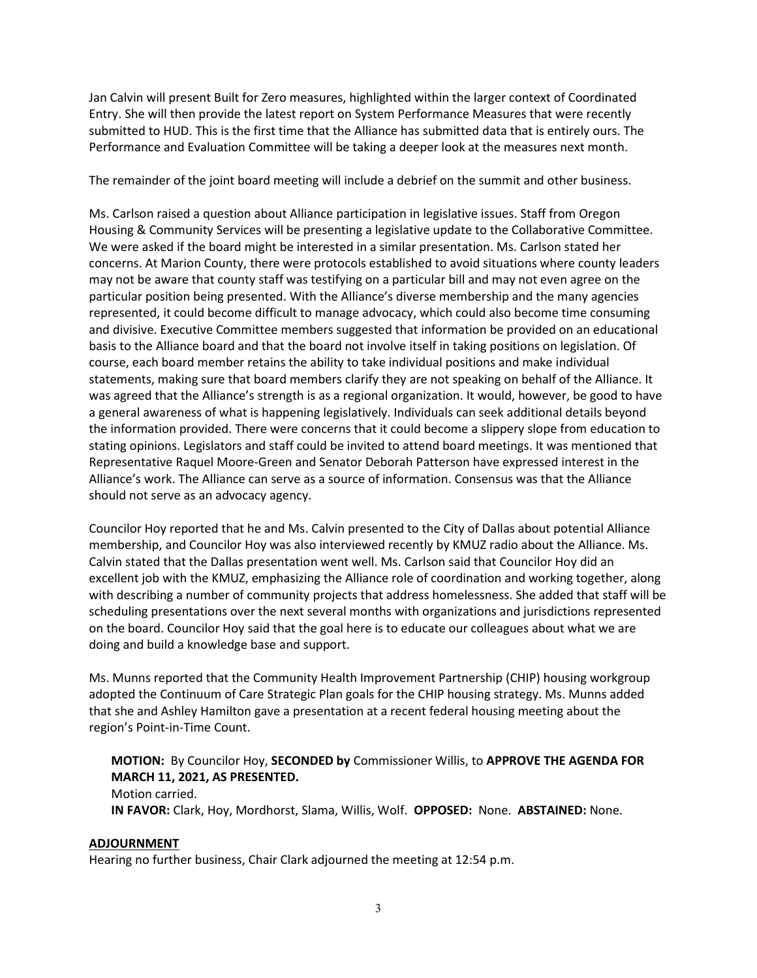Jan Calvin will present Built for Zero measures, highlighted within the larger context of Coordinated Entry. She will then provide the latest report on System Performance Measures that were recently submitted to HUD. This is the first time that the Alliance has submitted data that is entirely ours. The Performance and Evaluation Committee will be taking a deeper look at the measures next month.

The remainder of the joint board meeting will include a debrief on the summit and other business.

Ms. Carlson raised a question about Alliance participation in legislative issues. Staff from Oregon Housing & Community Services will be presenting a legislative update to the Collaborative Committee. We were asked if the board might be interested in a similar presentation. Ms. Carlson stated her concerns. At Marion County, there were protocols established to avoid situations where county leaders may not be aware that county staff was testifying on a particular bill and may not even agree on the particular position being presented. With the Alliance's diverse membership and the many agencies represented, it could become difficult to manage advocacy, which could also become time consuming and divisive. Executive Committee members suggested that information be provided on an educational basis to the Alliance board and that the board not involve itself in taking positions on legislation. Of course, each board member retains the ability to take individual positions and make individual statements, making sure that board members clarify they are not speaking on behalf of the Alliance. It was agreed that the Alliance's strength is as a regional organization. It would, however, be good to have a general awareness of what is happening legislatively. Individuals can seek additional details beyond the information provided. There were concerns that it could become a slippery slope from education to stating opinions. Legislators and staff could be invited to attend board meetings. It was mentioned that Representative Raquel Moore-Green and Senator Deborah Patterson have expressed interest in the Alliance's work. The Alliance can serve as a source of information. Consensus was that the Alliance should not serve as an advocacy agency.

Councilor Hoy reported that he and Ms. Calvin presented to the City of Dallas about potential Alliance membership, and Councilor Hoy was also interviewed recently by KMUZ radio about the Alliance. Ms. Calvin stated that the Dallas presentation went well. Ms. Carlson said that Councilor Hoy did an excellent job with the KMUZ, emphasizing the Alliance role of coordination and working together, along with describing a number of community projects that address homelessness. She added that staff will be scheduling presentations over the next several months with organizations and jurisdictions represented on the board. Councilor Hoy said that the goal here is to educate our colleagues about what we are doing and build a knowledge base and support.

Ms. Munns reported that the Community Health Improvement Partnership (CHIP) housing workgroup adopted the Continuum of Care Strategic Plan goals for the CHIP housing strategy. Ms. Munns added that she and Ashley Hamilton gave a presentation at a recent federal housing meeting about the region's Point-in-Time Count.

# MOTION: By Councilor Hoy, SECONDED by Commissioner Willis, to APPROVE THE AGENDA FOR MARCH 11, 2021, AS PRESENTED.

Motion carried. IN FAVOR: Clark, Hoy, Mordhorst, Slama, Willis, Wolf. OPPOSED: None. ABSTAINED: None.

# ADJOURNMENT

Hearing no further business, Chair Clark adjourned the meeting at 12:54 p.m.